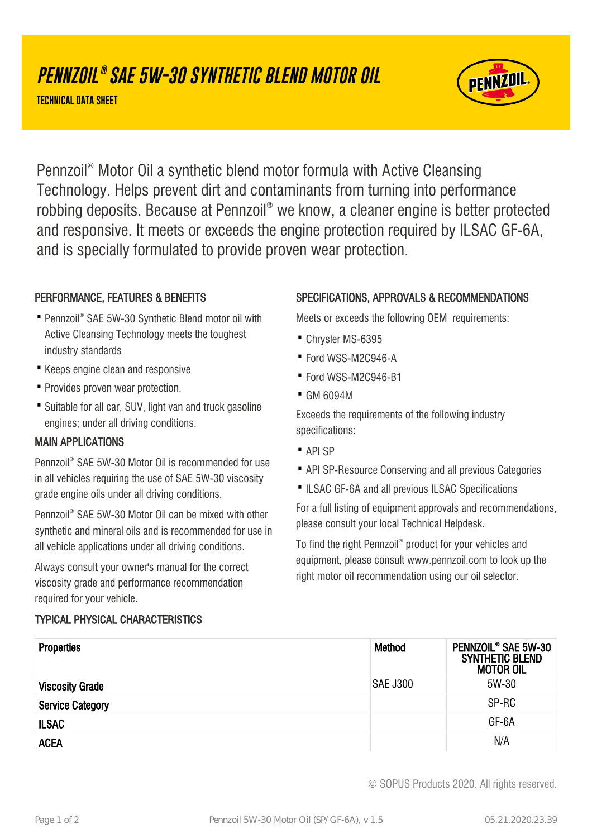# **PENNZOIL ® SAE 5W-30 SYNTHETIC BLEND MOTOR OIL**

**TECHNICAL DATA SHEET**



Pennzoil® Motor Oil a synthetic blend motor formula with Active Cleansing Technology. Helps prevent dirt and contaminants from turning into performance robbing deposits. Because at Pennzoil® we know, a cleaner engine is better protected and responsive. It meets or exceeds the engine protection required by ILSAC GF-6A, and is specially formulated to provide proven wear protection.

# PERFORMANCE, FEATURES & BENEFITS

- Pennzoil® SAE 5W-30 Synthetic Blend motor oil with Active Cleansing Technology meets the toughest industry standards
- · Keeps engine clean and responsive
- · Provides proven wear protection.
- Suitable for all car, SUV, light van and truck gasoline engines; under all driving conditions.

#### MAIN APPLICATIONS

Pennzoil® SAE 5W-30 Motor Oil is recommended for use in all vehicles requiring the use of SAE 5W-30 viscosity grade engine oils under all driving conditions.

Pennzoil® SAE 5W-30 Motor Oil can be mixed with other synthetic and mineral oils and is recommended for use in all vehicle applications under all driving conditions.

Always consult your owner's manual for the correct viscosity grade and performance recommendation required for your vehicle.

# TYPICAL PHYSICAL CHARACTERISTICS

### SPECIFICATIONS, APPROVALS & RECOMMENDATIONS

Meets or exceeds the following OEM requirements:

- · Chrysler MS-6395
- · Ford WSS-M2C946-A
- · Ford WSS-M2C946-B1
- · GM 6094M

Exceeds the requirements of the following industry specifications:

- · API SP
- · API SP-Resource Conserving and all previous Categories
- ·ILSAC GF-6A and all previous ILSAC Specifications

For a full listing of equipment approvals and recommendations, please consult your local Technical Helpdesk.

To find the right Pennzoil® product for your vehicles and equipment, please consult www.pennzoil.com to look up the right motor oil recommendation using our oil selector.

| <b>Properties</b>       | Method          | PENNZOIL® SAE 5W-30<br><b>SYNTHETIC BLEND</b><br><b>MOTOR OIL</b> |
|-------------------------|-----------------|-------------------------------------------------------------------|
| <b>Viscosity Grade</b>  | <b>SAE J300</b> | 5W-30                                                             |
| <b>Service Category</b> |                 | SP-RC                                                             |
| <b>ILSAC</b>            |                 | GF-6A                                                             |
| <b>ACEA</b>             |                 | N/A                                                               |

© SOPUS Products 2020. All rights reserved.